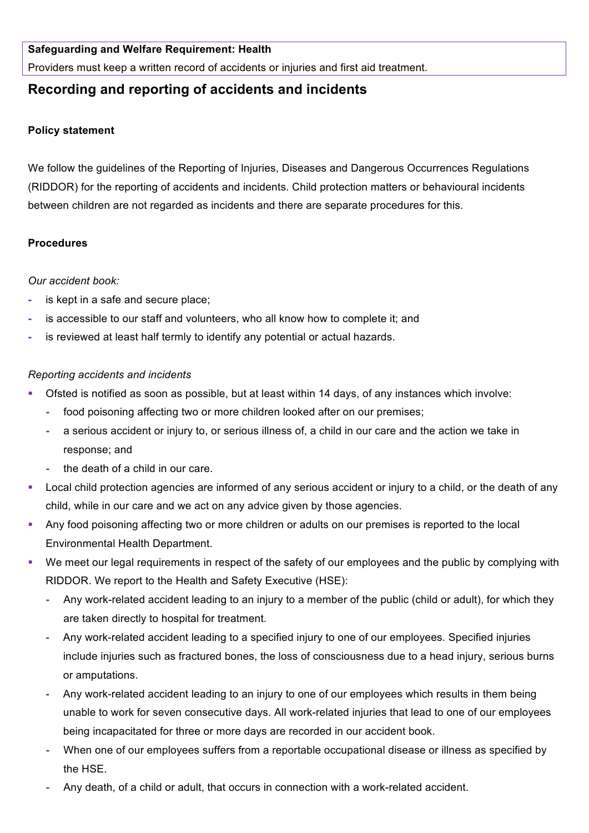### **Safeguarding and Welfare Requirement: Health**

Providers must keep a written record of accidents or injuries and first aid treatment.

# **Recording and reporting of accidents and incidents**

#### **Policy statement**

We follow the guidelines of the Reporting of Injuries, Diseases and Dangerous Occurrences Regulations (RIDDOR) for the reporting of accidents and incidents. Child protection matters or behavioural incidents between children are not regarded as incidents and there are separate procedures for this.

### **Procedures**

### *Our accident book:*

- **-** is kept in a safe and secure place;
- **-** is accessible to our staff and volunteers, who all know how to complete it; and
- **-** is reviewed at least half termly to identify any potential or actual hazards.

### *Reporting accidents and incidents*

- § Ofsted is notified as soon as possible, but at least within 14 days, of any instances which involve:
	- **-** food poisoning affecting two or more children looked after on our premises;
	- **-** a serious accident or injury to, or serious illness of, a child in our care and the action we take in response; and
	- **-** the death of a child in our care.
- Local child protection agencies are informed of any serious accident or injury to a child, or the death of any child, while in our care and we act on any advice given by those agencies.
- Any food poisoning affecting two or more children or adults on our premises is reported to the local Environmental Health Department.
- We meet our legal requirements in respect of the safety of our employees and the public by complying with RIDDOR. We report to the Health and Safety Executive (HSE):
	- **-** Any work-related accident leading to an injury to a member of the public (child or adult), for which they are taken directly to hospital for treatment.
	- **-** Any work-related accident leading to a specified injury to one of our employees. Specified injuries include injuries such as fractured bones, the loss of consciousness due to a head injury, serious burns or amputations.
	- **-** Any work-related accident leading to an injury to one of our employees which results in them being unable to work for seven consecutive days. All work-related injuries that lead to one of our employees being incapacitated for three or more days are recorded in our accident book.
	- **-** When one of our employees suffers from a reportable occupational disease or illness as specified by the HSE.
	- **-** Any death, of a child or adult, that occurs in connection with a work-related accident.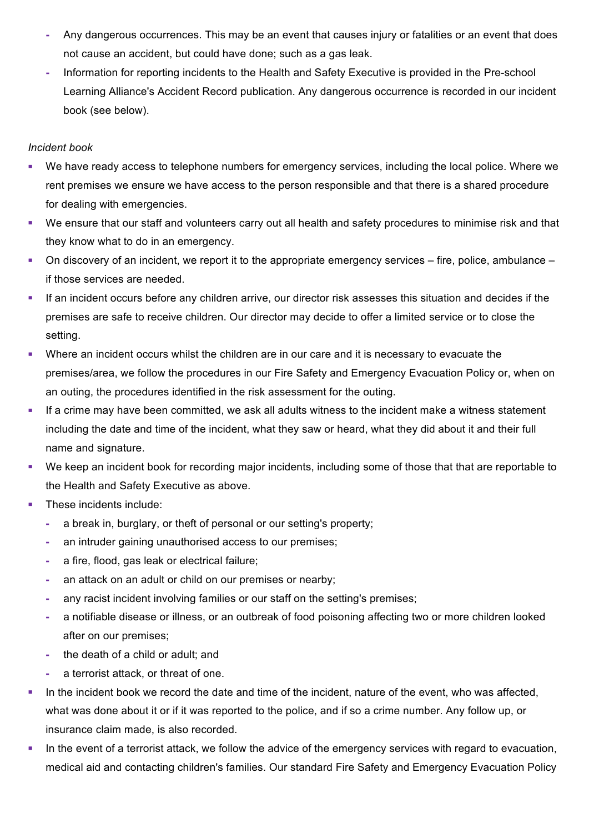- **-** Any dangerous occurrences. This may be an event that causes injury or fatalities or an event that does not cause an accident, but could have done; such as a gas leak.
- **-** Information for reporting incidents to the Health and Safety Executive is provided in the Pre-school Learning Alliance's Accident Record publication. Any dangerous occurrence is recorded in our incident book (see below).

## *Incident book*

- We have ready access to telephone numbers for emergency services, including the local police. Where we rent premises we ensure we have access to the person responsible and that there is a shared procedure for dealing with emergencies.
- We ensure that our staff and volunteers carry out all health and safety procedures to minimise risk and that they know what to do in an emergency.
- On discovery of an incident, we report it to the appropriate emergency services fire, police, ambulance if those services are needed.
- **•** If an incident occurs before any children arrive, our director risk assesses this situation and decides if the premises are safe to receive children. Our director may decide to offer a limited service or to close the setting.
- Where an incident occurs whilst the children are in our care and it is necessary to evacuate the premises/area, we follow the procedures in our Fire Safety and Emergency Evacuation Policy or, when on an outing, the procedures identified in the risk assessment for the outing.
- If a crime may have been committed, we ask all adults witness to the incident make a witness statement including the date and time of the incident, what they saw or heard, what they did about it and their full name and signature.
- We keep an incident book for recording major incidents, including some of those that that are reportable to the Health and Safety Executive as above.
- These incidents include:
	- **-** a break in, burglary, or theft of personal or our setting's property;
	- **-** an intruder gaining unauthorised access to our premises;
	- **-** a fire, flood, gas leak or electrical failure;
	- **-** an attack on an adult or child on our premises or nearby;
	- **-** any racist incident involving families or our staff on the setting's premises;
	- **-** a notifiable disease or illness, or an outbreak of food poisoning affecting two or more children looked after on our premises;
	- **-** the death of a child or adult; and
	- **-** a terrorist attack, or threat of one.
- In the incident book we record the date and time of the incident, nature of the event, who was affected, what was done about it or if it was reported to the police, and if so a crime number. Any follow up, or insurance claim made, is also recorded.
- In the event of a terrorist attack, we follow the advice of the emergency services with regard to evacuation, medical aid and contacting children's families. Our standard Fire Safety and Emergency Evacuation Policy